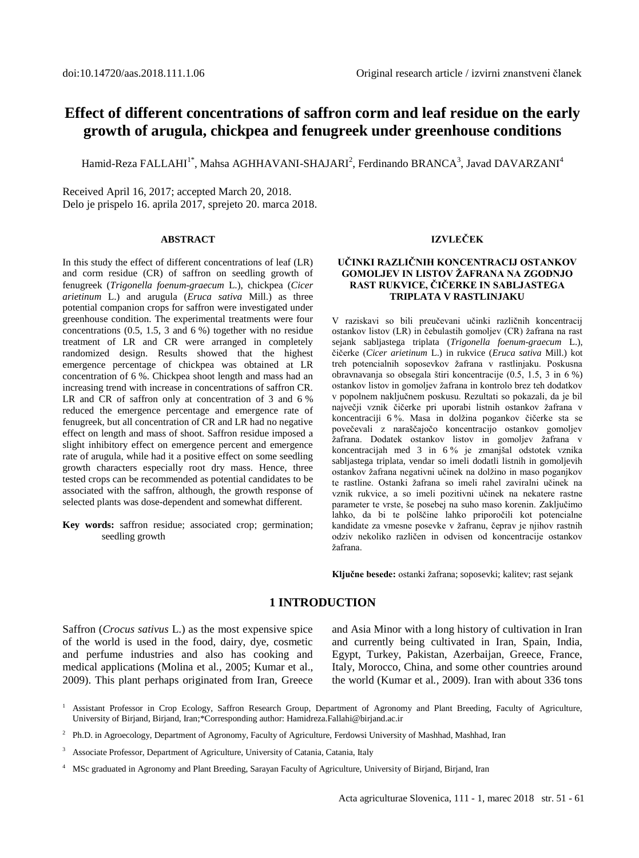# **Effect of different concentrations of saffron corm and leaf residue on the early growth of arugula, chickpea and fenugreek under greenhouse conditions**

Hamid-Reza FALLAHI $^{\rm 1*}$ , Mahsa AGHHAVANI-SHAJARI $^{\rm 2}$ , Ferdinando BRANCA $^{\rm 3}$ , Javad DAVARZANI $^{\rm 4}$ 

Received April 16, 2017; accepted March 20, 2018. Delo je prispelo 16. aprila 2017, sprejeto 20. marca 2018.

#### **ABSTRACT**

In this study the effect of different concentrations of leaf (LR) and corm residue (CR) of saffron on seedling growth of fenugreek (*Trigonella foenum-graecum* L.), chickpea (*Cicer arietinum* L.) and arugula (*Eruca sativa* Mill.) as three potential companion crops for saffron were investigated under greenhouse condition. The experimental treatments were four concentrations (0.5, 1.5, 3 and 6 %) together with no residue treatment of LR and CR were arranged in completely randomized design. Results showed that the highest emergence percentage of chickpea was obtained at LR concentration of 6 %. Chickpea shoot length and mass had an increasing trend with increase in concentrations of saffron CR. LR and CR of saffron only at concentration of 3 and 6 % reduced the emergence percentage and emergence rate of fenugreek, but all concentration of CR and LR had no negative effect on length and mass of shoot. Saffron residue imposed a slight inhibitory effect on emergence percent and emergence rate of arugula, while had it a positive effect on some seedling growth characters especially root dry mass. Hence, three tested crops can be recommended as potential candidates to be associated with the saffron, although, the growth response of selected plants was dose-dependent and somewhat different.

**Key words:** saffron residue; associated crop; germination; seedling growth

#### **IZVLEČEK**

#### **UČINKI RAZLIČNIH KONCENTRACIJ OSTANKOV GOMOLJEV IN LISTOV ŽAFRANA NA ZGODNJO RAST RUKVICE, ČIČERKE IN SABLJASTEGA TRIPLATA V RASTLINJAKU**

V raziskavi so bili preučevani učinki različnih koncentracij ostankov listov (LR) in čebulastih gomoljev (CR) žafrana na rast sejank sabljastega triplata (*Trigonella foenum-graecum* L.), čičerke (*Cicer arietinum* L.) in rukvice (*Eruca sativa* Mill.) kot treh potencialnih soposevkov žafrana v rastlinjaku. Poskusna obravnavanja so obsegala štiri koncentracije (0.5, 1.5, 3 in 6 %) ostankov listov in gomoljev žafrana in kontrolo brez teh dodatkov v popolnem naključnem poskusu. Rezultati so pokazali, da je bil največji vznik čičerke pri uporabi listnih ostankov žafrana v koncentraciji 6 %. Masa in dolžina pogankov čičerke sta se povečevali z naraščajočo koncentracijo ostankov gomoljev žafrana. Dodatek ostankov listov in gomoljev žafrana v koncentracijah med 3 in 6 % je zmanjšal odstotek vznika sabljastega triplata, vendar so imeli dodatli listnih in gomoljevih ostankov žafrana negativni učinek na dolžino in maso poganjkov te rastline. Ostanki žafrana so imeli rahel zaviralni učinek na vznik rukvice, a so imeli pozitivni učinek na nekatere rastne parameter te vrste, še posebej na suho maso korenin. Zaključimo lahko, da bi te polščine lahko priporočili kot potencialne kandidate za vmesne posevke v žafranu, čeprav je njihov rastnih odziv nekoliko različen in odvisen od koncentracije ostankov žafrana.

**Ključne besede:** ostanki žafrana; soposevki; kalitev; rast sejank

#### **1 INTRODUCTION**

Saffron (*Crocus sativus* L.) as the most expensive spice of the world is used in the food, dairy, dye, cosmetic and perfume industries and also has cooking and medical applications (Molina et al*.,* 2005; Kumar et al., 2009). This plant perhaps originated from Iran, Greece and Asia Minor with a long history of cultivation in Iran and currently being cultivated in Iran, Spain, India, Egypt, Turkey, Pakistan, Azerbaijan, Greece, France, Italy, Morocco, China, and some other countries around the world (Kumar et al*.,* 2009). Iran with about 336 tons

- <sup>1</sup> Assistant Professor in Crop Ecology, Saffron Research Group, Department of Agronomy and Plant Breeding, Faculty of Agriculture, University of Birjand, Birjand, Iran;\*Corresponding author[: Hamidreza.Fallahi@birjand.ac.ir](mailto:Hamidreza.Fallahi@birjand.ac.ir)
- <sup>2</sup> Ph.D. in Agroecology, Department of Agronomy, Faculty of Agriculture, Ferdowsi University of Mashhad, Mashhad, Iran
- <sup>3</sup> Associate Professor, Department of Agriculture, University of Catania, Catania, Italy
- <sup>4</sup> MSc graduated in Agronomy and Plant Breeding, Sarayan Faculty of Agriculture, University of Birjand, Birjand, Iran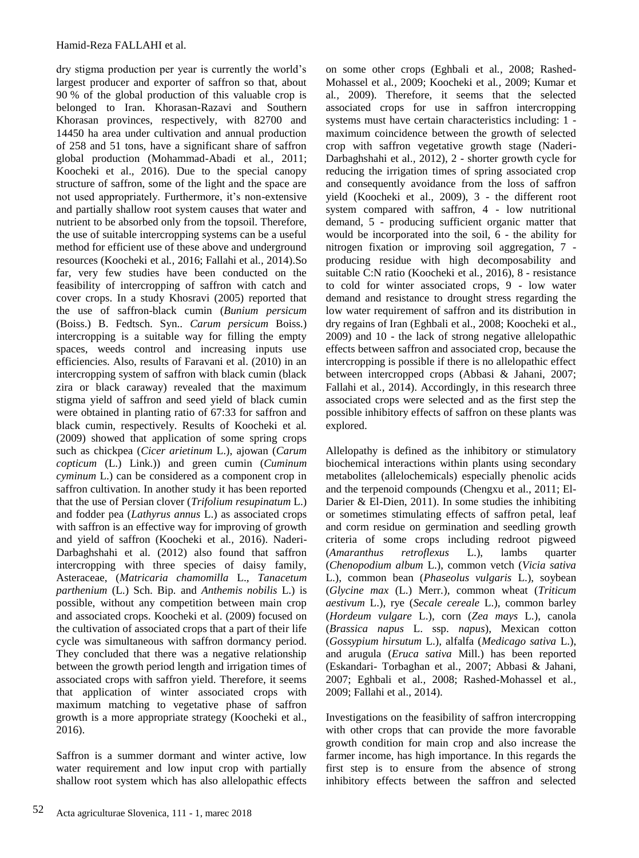dry stigma production per year is currently the world's largest producer and exporter of saffron so that, about 90 % of the global production of this valuable crop is belonged to Iran. Khorasan-Razavi and Southern Khorasan provinces, respectively, with 82700 and 14450 ha area under cultivation and annual production of 258 and 51 tons, have a significant share of saffron global production (Mohammad-Abadi et al*.,* 2011; Koocheki et al.*,* 2016). Due to the special canopy structure of saffron, some of the light and the space are not used appropriately. Furthermore, it's non-extensive and partially shallow root system causes that water and nutrient to be absorbed only from the topsoil. Therefore, the use of suitable intercropping systems can be a useful method for efficient use of these above and underground resources (Koocheki et al*.,* 2016; Fallahi et al*.,* 2014).So far, very few studies have been conducted on the feasibility of intercropping of saffron with catch and cover crops. In a study Khosravi (2005) reported that the use of saffron-black cumin (*Bunium persicum* (Boiss.) B. Fedtsch. Syn.. *Carum persicum* Boiss.) intercropping is a suitable way for filling the empty spaces, weeds control and increasing inputs use efficiencies. Also, results of Faravani et al. (2010) in an intercropping system of saffron with black cumin (black zira or black caraway) revealed that the maximum stigma yield of saffron and seed yield of black cumin were obtained in planting ratio of 67:33 for saffron and black cumin, respectively. Results of Koocheki et al*.* (2009) showed that application of some spring crops such as chickpea (*Cicer arietinum* L.), ajowan (*Carum copticum* (L.) Link.)) and green cumin (*Cuminum cyminum* L.) can be considered as a component crop in saffron cultivation. In another study it has been reported that the use of Persian clover (*Trifolium resupinatum* L.) and fodder pea (*Lathyrus annus* L.) as associated crops with saffron is an effective way for improving of growth and yield of saffron (Koocheki et al*.,* 2016). Naderi-Darbaghshahi et al. (2012) also found that saffron intercropping with three species of daisy family, Asteraceae, (*Matricaria chamomilla* L.*, Tanacetum parthenium* [\(L.\)](https://en.wikipedia.org/wiki/L.) Sch. Bip*.* and *Anthemis nobilis* L.) is possible, without any competition between main crop and associated crops. Koocheki et al. (2009) focused on the cultivation of associated crops that a part of their life cycle was simultaneous with saffron dormancy period. They concluded that there was a negative relationship between the growth period length and irrigation times of associated crops with saffron yield. Therefore, it seems that application of winter associated crops with maximum matching to vegetative phase of saffron growth is a more appropriate strategy (Koocheki et al., 2016).

Saffron is a summer dormant and winter active, low water requirement and low input crop with partially shallow root system which has also allelopathic effects on some other crops (Eghbali et al*.,* 2008; Rashed-Mohassel et al*.,* 2009; Koocheki et al*.,* 2009; Kumar et al*.,* 2009). Therefore, it seems that the selected associated crops for use in saffron intercropping systems must have certain characteristics including: 1 maximum coincidence between the growth of selected crop with saffron vegetative growth stage (Naderi-Darbaghshahi et al.*,* 2012), 2 - shorter growth cycle for reducing the irrigation times of spring associated crop and consequently avoidance from the loss of saffron yield (Koocheki et al.*,* 2009), 3 - the different root system compared with saffron, 4 - low nutritional demand, 5 - producing sufficient organic matter that would be incorporated into the soil, 6 - the ability for nitrogen fixation or improving soil aggregation, 7 producing residue with high decomposability and suitable C:N ratio (Koocheki et al*.,* 2016), 8 - resistance to cold for winter associated crops, 9 - low water demand and resistance to drought stress regarding the low water requirement of saffron and its distribution in dry regains of Iran (Eghbali et al., 2008; Koocheki et al., 2009) and 10 - the lack of strong negative allelopathic effects between saffron and associated crop, because the intercropping is possible if there is no allelopathic effect between intercropped crops (Abbasi & Jahani, 2007; Fallahi et al*.,* 2014). Accordingly, in this research three associated crops were selected and as the first step the possible inhibitory effects of saffron on these plants was explored.

Allelopathy is defined as the inhibitory or stimulatory biochemical interactions within plants using secondary metabolites (allelochemicals) especially phenolic acids and the terpenoid compounds (Chengxu et al., 2011; El-Darier & El-Dien, 2011). In some studies the inhibiting or sometimes stimulating effects of saffron petal, leaf and corm residue on germination and seedling growth criteria of some crops including redroot pigweed (*Amaranthus retroflexus* L.), lambs quarter (*Chenopodium album* L.), common vetch (*Vicia sativa*  L.), common bean (*Phaseolus vulgaris* L.), soybean (*Glycine max* (L.) Merr.), common wheat (*Triticum aestivum* L.), rye (*Secale cereale* L.), common barley (*Hordeum vulgare* L.), corn (*Zea mays* L.), canola (*Brassica napus* L. ssp. *napus*), Mexican cotton (*Gossypium hirsutum* L.), alfalfa (*Medicago sativa* L.), and arugula (*Eruca sativa* Mill.) has been reported (Eskandari- Torbaghan et al., 2007; Abbasi & Jahani, 2007; Eghbali et al*.,* 2008; Rashed-Mohassel et al*.,* 2009; Fallahi et al., 2014).

Investigations on the feasibility of saffron intercropping with other crops that can provide the more favorable growth condition for main crop and also increase the farmer income, has high importance. In this regards the first step is to ensure from the absence of strong inhibitory effects between the saffron and selected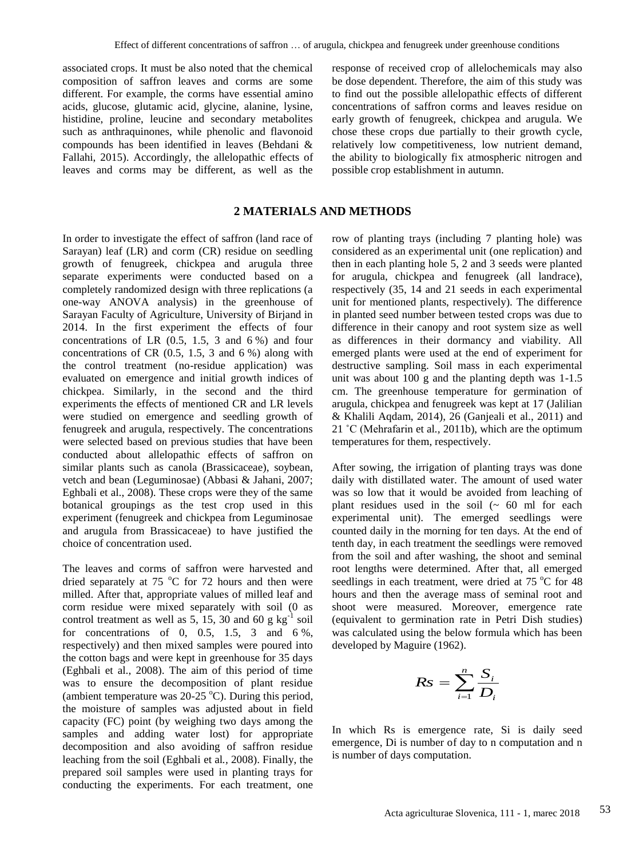associated crops. It must be also noted that the chemical composition of saffron leaves and corms are some different. For example, the corms have essential amino acids, glucose, glutamic acid, glycine, alanine, lysine, histidine, proline, leucine and secondary metabolites such as anthraquinones, while phenolic and flavonoid compounds has been identified in leaves (Behdani & Fallahi, 2015). Accordingly, the allelopathic effects of leaves and corms may be different, as well as the response of received crop of allelochemicals may also be dose dependent. Therefore, the aim of this study was to find out the possible allelopathic effects of different concentrations of saffron corms and leaves residue on early growth of fenugreek, chickpea and arugula. We chose these crops due partially to their growth cycle, relatively low competitiveness, low nutrient demand, the ability to biologically fix atmospheric nitrogen and possible crop establishment in autumn.

# **2 MATERIALS AND METHODS**

In order to investigate the effect of saffron (land race of Sarayan) leaf (LR) and corm (CR) residue on seedling growth of fenugreek, chickpea and arugula three separate experiments were conducted based on a completely randomized design with three replications (a one-way ANOVA analysis) in the greenhouse of Sarayan Faculty of Agriculture, University of Birjand in 2014. In the first experiment the effects of four concentrations of LR  $(0.5, 1.5, 3 \text{ and } 6\%)$  and four concentrations of CR (0.5, 1.5, 3 and 6 %) along with the control treatment (no-residue application) was evaluated on emergence and initial growth indices of chickpea. Similarly, in the second and the third experiments the effects of mentioned CR and LR levels were studied on emergence and seedling growth of fenugreek and arugula, respectively. The concentrations were selected based on previous studies that have been conducted about allelopathic effects of saffron on similar plants such as canola (Brassicaceae), soybean, vetch and bean (Leguminosae) (Abbasi & Jahani, 2007; Eghbali et al., 2008). These crops were they of the same botanical groupings as the test crop used in this experiment (fenugreek and chickpea from Leguminosae and arugula from Brassicaceae) to have justified the choice of concentration used.

The leaves and corms of saffron were harvested and dried separately at  $75 \degree C$  for  $72$  hours and then were milled. After that, appropriate values of milled leaf and corm residue were mixed separately with soil (0 as control treatment as well as  $5, 15, 30$  and  $60 \text{ g kg}^{-1}$  soil for concentrations of 0, 0.5, 1.5, 3 and  $6\%$ , respectively) and then mixed samples were poured into the cotton bags and were kept in greenhouse for 35 days (Eghbali et al., 2008). The aim of this period of time was to ensure the decomposition of plant residue (ambient temperature was  $20-25$  °C). During this period, the moisture of samples was adjusted about in field capacity (FC) point (by weighing two days among the samples and adding water lost) for appropriate decomposition and also avoiding of saffron residue leaching from the soil (Eghbali et al*.,* 2008). Finally, the prepared soil samples were used in planting trays for conducting the experiments. For each treatment, one row of planting trays (including 7 planting hole) was considered as an experimental unit (one replication) and then in each planting hole 5, 2 and 3 seeds were planted for arugula, chickpea and fenugreek (all landrace), respectively (35, 14 and 21 seeds in each experimental unit for mentioned plants, respectively). The difference in planted seed number between tested crops was due to difference in their canopy and root system size as well as differences in their dormancy and viability. All emerged plants were used at the end of experiment for destructive sampling. Soil mass in each experimental unit was about 100 g and the planting depth was 1-1.5 cm. The greenhouse temperature for germination of arugula, chickpea and fenugreek was kept at 17 (Jalilian & Khalili Aqdam, 2014), 26 (Ganjeali et al., 2011) and 21 ˚C (Mehrafarin et al*.,* 2011b), which are the optimum temperatures for them, respectively.

After sowing, the irrigation of planting trays was done daily with distillated water. The amount of used water was so low that it would be avoided from leaching of plant residues used in the soil  $($   $\sim$  60 ml for each experimental unit). The emerged seedlings were counted daily in the morning for ten days. At the end of tenth day, in each treatment the seedlings were removed from the soil and after washing, the shoot and seminal root lengths were determined. After that, all emerged seedlings in each treatment, were dried at  $75 \degree C$  for 48 hours and then the average mass of seminal root and shoot were measured. Moreover, emergence rate (equivalent to germination rate in Petri Dish studies) was calculated using the below formula which has been developed by Maguire (1962).

$$
Rs = \sum_{i=1}^{n} \frac{S_i}{D_i}
$$

In which Rs is emergence rate, Si is daily seed emergence, Di is number of day to n computation and n is number of days computation.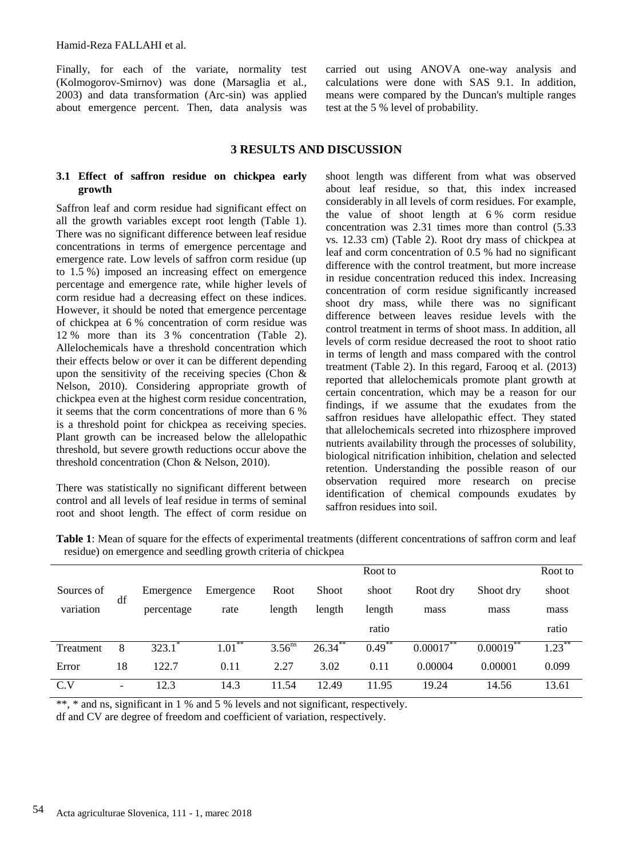Finally, for each of the variate, normality test (Kolmogorov-Smirnov) was done (Marsaglia et al., 2003) and data transformation (Arc-sin) was applied about emergence percent. Then, data analysis was carried out using ANOVA one-way analysis and calculations were done with SAS 9.1. In addition, means were compared by the Duncan's multiple ranges test at the 5 % level of probability.

### **3 RESULTS AND DISCUSSION**

#### **3.1 Effect of saffron residue on chickpea early growth**

Saffron leaf and corm residue had significant effect on all the growth variables except root length (Table 1). There was no significant difference between leaf residue concentrations in terms of emergence percentage and emergence rate. Low levels of saffron corm residue (up to 1.5 %) imposed an increasing effect on emergence percentage and emergence rate, while higher levels of corm residue had a decreasing effect on these indices. However, it should be noted that emergence percentage of chickpea at 6 % concentration of corm residue was 12 % more than its 3 % concentration (Table 2). Allelochemicals have a threshold concentration which their effects below or over it can be different depending upon the sensitivity of the receiving species (Chon  $\&$ Nelson, 2010). Considering appropriate growth of chickpea even at the highest corm residue concentration, it seems that the corm concentrations of more than 6 % is a threshold point for chickpea as receiving species. Plant growth can be increased below the allelopathic threshold, but severe growth reductions occur above the threshold concentration (Chon & Nelson, 2010).

There was statistically no significant different between control and all levels of leaf residue in terms of seminal root and shoot length. The effect of corm residue on

shoot length was different from what was observed about leaf residue, so that, this index increased considerably in all levels of corm residues. For example, the value of shoot length at 6 % corm residue concentration was 2.31 times more than control (5.33 vs. 12.33 cm) (Table 2). Root dry mass of chickpea at leaf and corm concentration of 0.5 % had no significant difference with the control treatment, but more increase in residue concentration reduced this index. Increasing concentration of corm residue significantly increased shoot dry mass, while there was no significant difference between leaves residue levels with the control treatment in terms of shoot mass. In addition, all levels of corm residue decreased the root to shoot ratio in terms of length and mass compared with the control treatment (Table 2). In this regard, Farooq et al*.* (2013) reported that allelochemicals promote plant growth at certain concentration, which may be a reason for our findings, if we assume that the exudates from the saffron residues have allelopathic effect. They stated that allelochemicals secreted into rhizosphere improved nutrients availability through the processes of solubility, biological nitrification inhibition, chelation and selected retention. Understanding the possible reason of our observation required more research on precise identification of chemical compounds exudates by saffron residues into soil.

**Table 1**: Mean of square for the effects of experimental treatments (different concentrations of saffron corm and leaf residue) on emergence and seedling growth criteria of chickpea

|            |                          |            |            |                      |              | Root to              |          |           | Root to              |
|------------|--------------------------|------------|------------|----------------------|--------------|----------------------|----------|-----------|----------------------|
| Sources of | df                       | Emergence  | Emergence  | Root                 | <b>Shoot</b> | shoot                | Root dry | Shoot dry | shoot                |
| variation  |                          | percentage | rate       | length               | length       | length               | mass     | mass      | mass                 |
|            |                          |            |            |                      |              | ratio                |          |           | ratio                |
| Treatment  | 8                        | 323.1      | **<br>1.01 | $3.56$ <sup>ns</sup> | 26.34        | $0.49$ <sup>**</sup> | 0.00017  | 0.00019   | $1.23$ <sup>**</sup> |
| Error      | 18                       | 122.7      | 0.11       | 2.27                 | 3.02         | 0.11                 | 0.00004  | 0.00001   | 0.099                |
| C.V        | $\overline{\phantom{a}}$ | 12.3       | 14.3       | 11.54                | 12.49        | 11.95                | 19.24    | 14.56     | 13.61                |

\*\*, \* and ns, significant in 1 % and 5 % levels and not significant, respectively.

df and CV are degree of freedom and coefficient of variation, respectively.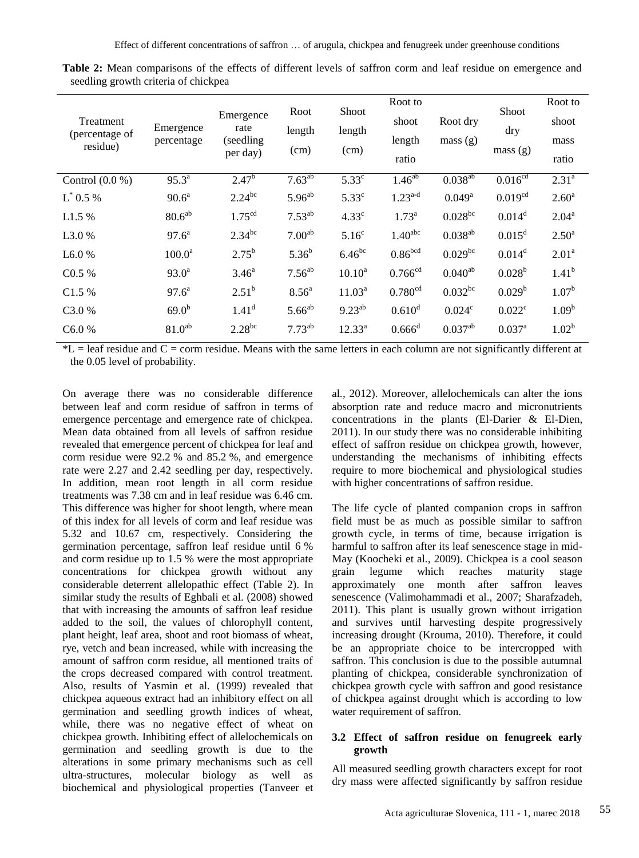| Treatment<br>(percentage of<br>residue) | Emergence<br>percentage | Emergence<br>rate<br>(seedling)<br>per day) | Root<br>length<br>(cm) | Shoot<br>length<br>(cm) | Root to<br>shoot<br>length<br>ratio | Root dry<br>mass(g) | <b>Shoot</b><br>dry<br>mass(g) | Root to<br>shoot<br>mass<br>ratio |
|-----------------------------------------|-------------------------|---------------------------------------------|------------------------|-------------------------|-------------------------------------|---------------------|--------------------------------|-----------------------------------|
| Control $(0.0 %)$                       | $95.3^{a}$              | $2.47^{b}$                                  | $7.63^{ab}$            | $5.33^\circ$            | $1.46^{ab}$                         | $0.038^{ab}$        | 0.016 <sup>cd</sup>            | 2.31 <sup>a</sup>                 |
| $L^*$ 0.5 %                             | $90.6^a$                | $2.24^{bc}$                                 | $5.96^{ab}$            | $5.33^{\circ}$          | $1.23^{a-d}$                        | $0.049^{\rm a}$     | 0.019 <sup>cd</sup>            | 2.60 <sup>a</sup>                 |
| L1.5 %                                  | 80.6 <sup>ab</sup>      | 1.75 <sup>cd</sup>                          | $7.53^{ab}$            | 4.33 <sup>c</sup>       | $1.73^{\rm a}$                      | $0.028^{bc}$        | $0.014^d$                      | $2.04^a$                          |
| L3.0 %                                  | $97.6^{\circ}$          | $2.34^{bc}$                                 | 7.00 <sup>ab</sup>     | 5.16 <sup>c</sup>       | 1.40 <sup>abc</sup>                 | $0.038^{ab}$        | $0.015^d$                      | $2.50^{\circ}$                    |
| L6.0%                                   | 100.0 <sup>a</sup>      | $2.75^{\rm b}$                              | $5.36^{b}$             | $6.46^{bc}$             | 0.86 <sup>bcd</sup>                 | $0.029$ bc          | $0.014^d$                      | 2.01 <sup>a</sup>                 |
| C0.5 %                                  | $93.0^a$                | $3.46^{\circ}$                              | $7.56^{ab}$            | $10.10^a$               | $0.766$ <sup>cd</sup>               | $0.040^{ab}$        | $0.028^{b}$                    | $1.41^{b}$                        |
| C1.5 %                                  | $97.6^{\circ}$          | $2.51^{b}$                                  | 8.56 <sup>a</sup>      | $11.03^a$               | 0.780 <sup>cd</sup>                 | $0.032^{bc}$        | $0.029^{\rm b}$                | $1.07^{b}$                        |
| C3.0%                                   | 69.0 <sup>b</sup>       | $1.41^d$                                    | $5.66^{ab}$            | $9.23^{ab}$             | $0.610^d$                           | 0.024 <sup>c</sup>  | $0.022^{\circ}$                | 1.09 <sup>b</sup>                 |
| C6.0%                                   | 81.0 <sup>ab</sup>      | $2.28^{bc}$                                 | $7.73^{ab}$            | $12.33^{a}$             | $0.666$ <sup>d</sup>                | $0.037^{ab}$        | $0.037$ <sup>a</sup>           | $1.02^{\rm b}$                    |

**Table 2:** Mean comparisons of the effects of different levels of saffron corm and leaf residue on emergence and seedling growth criteria of chickpea

 $*L =$  leaf residue and  $C =$  corm residue. Means with the same letters in each column are not significantly different at the 0.05 level of probability.

On average there was no considerable difference between leaf and corm residue of saffron in terms of emergence percentage and emergence rate of chickpea. Mean data obtained from all levels of saffron residue revealed that emergence percent of chickpea for leaf and corm residue were 92.2 % and 85.2 %, and emergence rate were 2.27 and 2.42 seedling per day, respectively. In addition, mean root length in all corm residue treatments was 7.38 cm and in leaf residue was 6.46 cm. This difference was higher for shoot length, where mean of this index for all levels of corm and leaf residue was 5.32 and 10.67 cm, respectively. Considering the germination percentage, saffron leaf residue until 6 % and corm residue up to 1.5 % were the most appropriate concentrations for chickpea growth without any considerable deterrent allelopathic effect (Table 2). In similar study the results of Eghbali et al. (2008) showed that with increasing the amounts of saffron leaf residue added to the soil, the values of chlorophyll content, plant height, leaf area, shoot and root biomass of wheat, rye, vetch and bean increased, while with increasing the amount of saffron corm residue, all mentioned traits of the crops decreased compared with control treatment. Also, results of Yasmin et al*.* (1999) revealed that chickpea aqueous extract had an inhibitory effect on all germination and seedling growth indices of wheat, while, there was no negative effect of wheat on chickpea growth. Inhibiting effect of allelochemicals on germination and seedling growth is due to the alterations in some primary mechanisms such as cell ultra-structures, molecular biology as well as biochemical and physiological properties (Tanveer et al*.,* 2012). Moreover, allelochemicals can alter the ions absorption rate and reduce macro and micronutrients concentrations in the plants (El-Darier & El-Dien, 2011). In our study there was no considerable inhibiting effect of saffron residue on chickpea growth, however, understanding the mechanisms of inhibiting effects require to more biochemical and physiological studies with higher concentrations of saffron residue.

The life cycle of planted companion crops in saffron field must be as much as possible similar to saffron growth cycle, in terms of time, because irrigation is harmful to saffron after its leaf senescence stage in mid-May (Koocheki et al*.,* 2009). Chickpea is a cool season grain legume which reaches maturity stage approximately one month after saffron leaves senescence (Valimohammadi et al., 2007; Sharafzadeh, 2011). This plant is usually grown without irrigation and survives until harvesting despite progressively increasing drought (Krouma, 2010). Therefore, it could be an appropriate choice to be intercropped with saffron. This conclusion is due to the possible autumnal planting of chickpea, considerable synchronization of chickpea growth cycle with saffron and good resistance of chickpea against drought which is according to low water requirement of saffron.

#### **3.2 Effect of saffron residue on fenugreek early growth**

All measured seedling growth characters except for root dry mass were affected significantly by saffron residue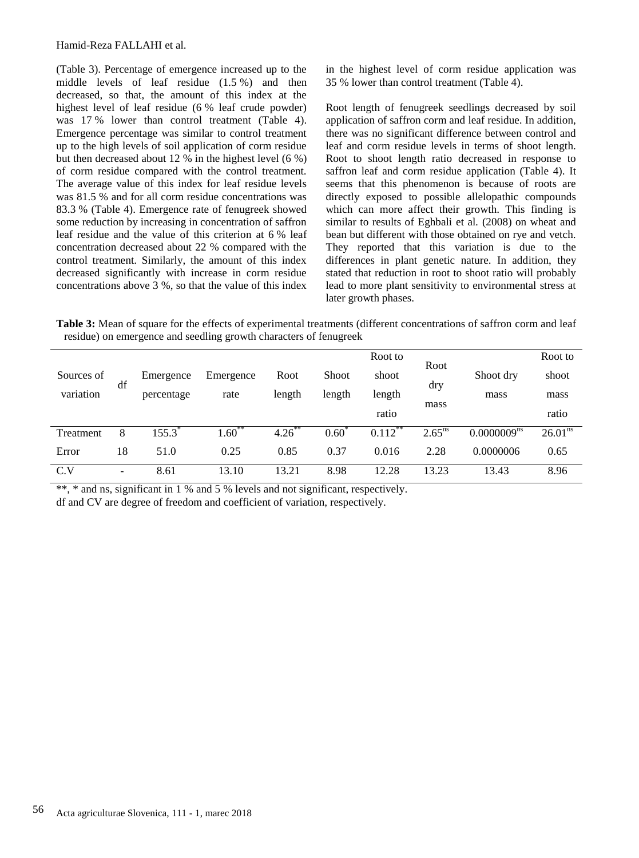(Table 3). Percentage of emergence increased up to the middle levels of leaf residue (1.5 %) and then decreased, so that, the amount of this index at the highest level of leaf residue (6 % leaf crude powder) was 17 % lower than control treatment (Table 4). Emergence percentage was similar to control treatment up to the high levels of soil application of corm residue but then decreased about 12 % in the highest level (6 %) of corm residue compared with the control treatment. The average value of this index for leaf residue levels was 81.5 % and for all corm residue concentrations was 83.3 % (Table 4). Emergence rate of fenugreek showed some reduction by increasing in concentration of saffron leaf residue and the value of this criterion at 6 % leaf concentration decreased about 22 % compared with the control treatment. Similarly, the amount of this index decreased significantly with increase in corm residue concentrations above 3 %, so that the value of this index in the highest level of corm residue application was 35 % lower than control treatment (Table 4).

Root length of fenugreek seedlings decreased by soil application of saffron corm and leaf residue. In addition, there was no significant difference between control and leaf and corm residue levels in terms of shoot length. Root to shoot length ratio decreased in response to saffron leaf and corm residue application (Table 4). It seems that this phenomenon is because of roots are directly exposed to possible allelopathic compounds which can more affect their growth. This finding is similar to results of Eghbali et al*.* (2008) on wheat and bean but different with those obtained on rye and vetch. They reported that this variation is due to the differences in plant genetic nature. In addition, they stated that reduction in root to shoot ratio will probably lead to more plant sensitivity to environmental stress at later growth phases.

**Table 3:** Mean of square for the effects of experimental treatments (different concentrations of saffron corm and leaf residue) on emergence and seedling growth characters of fenugreek

|            |                          |            |                  |        |        | Root to              |                      |                         | Root to      |
|------------|--------------------------|------------|------------------|--------|--------|----------------------|----------------------|-------------------------|--------------|
| Sources of | df                       | Emergence  | Emergence        | Root   | Shoot  | shoot                | Root                 | Shoot dry               | shoot        |
| variation  |                          | percentage | rate             | length | length | length               | dry                  | mass                    | mass         |
|            |                          |            |                  |        |        | ratio                | mass                 |                         | ratio        |
| Treatment  | 8                        | 155.3"     | $1.60^{\degree}$ | 4.26   | 0.60   | $0.112$ <sup>*</sup> | $2.65$ <sup>ns</sup> | 0.0000009 <sup>ns</sup> | $26.01^{ns}$ |
| Error      | 18                       | 51.0       | 0.25             | 0.85   | 0.37   | 0.016                | 2.28                 | 0.0000006               | 0.65         |
| C.V        | $\overline{\phantom{0}}$ | 8.61       | 13.10            | 13.21  | 8.98   | 12.28                | 13.23                | 13.43                   | 8.96         |

\*\*, \* and ns, significant in 1 % and 5 % levels and not significant, respectively.

df and CV are degree of freedom and coefficient of variation, respectively.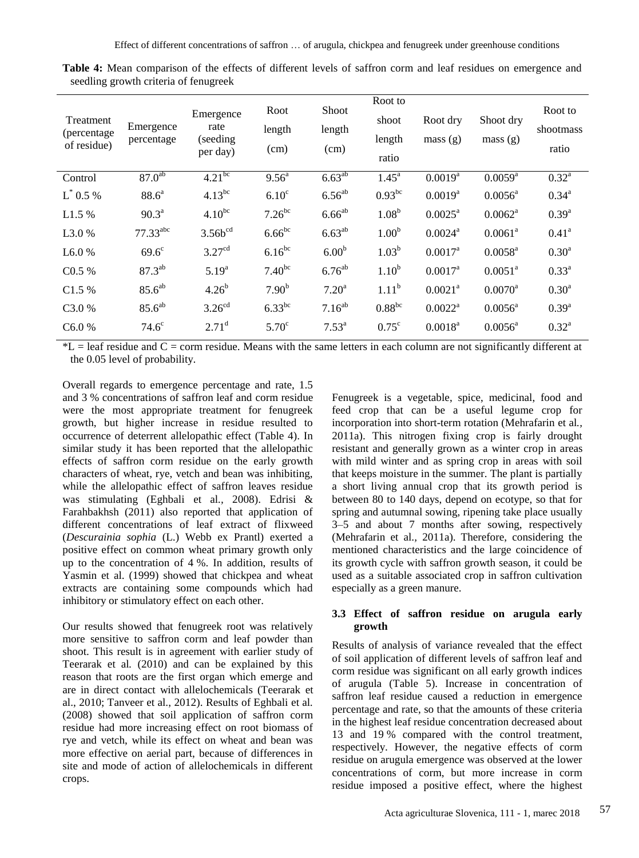| Treatment<br>(percentage)<br>of residue) | Emergence<br>percentage | Emergence<br>rate<br>(seeding)<br>per day) | Root<br>length<br>(cm) | Shoot<br>length<br>(cm) | Root to<br>shoot<br>length<br>ratio | Root dry<br>mass(g)   | Shoot dry<br>mass(g)  | Root to<br>shootmass<br>ratio |
|------------------------------------------|-------------------------|--------------------------------------------|------------------------|-------------------------|-------------------------------------|-----------------------|-----------------------|-------------------------------|
| Control                                  | $87.0^{ab}$             | $4.21^{bc}$                                | $9.56^{\circ}$         | $6.63^{ab}$             | $1.45^{\rm a}$                      | $0.0019^{a}$          | $0.0059^{a}$          | $0.32^{a}$                    |
| $L^*$ 0.5 %                              | $88.6^{\circ}$          | $4.13^{bc}$                                | 6.10 <sup>c</sup>      | $6.56^{ab}$             | $0.93^{bc}$                         | $0.0019^{a}$          | $0.0056^{\text{a}}$   | $0.34^{a}$                    |
| L1.5 %                                   | $90.3^{\text{a}}$       | $4.10^{bc}$                                | $7.26^{bc}$            | $6.66^{ab}$             | 1.08 <sup>b</sup>                   | $0.0025^a$            | $0.0062^a$            | $0.39^{a}$                    |
| L <sub>3.0</sub> %                       | $77.33$ <sup>abc</sup>  | $3.56b^{cd}$                               | $6.66^{bc}$            | $6.63^{ab}$             | 1.00 <sup>b</sup>                   | $0.0024$ <sup>a</sup> | $0.0061$ <sup>a</sup> | 0.41 <sup>a</sup>             |
| L6.0%                                    | $69.6^\circ$            | 3.27 <sup>cd</sup>                         | $6.16^{bc}$            | 6.00 <sup>b</sup>       | $1.03^{b}$                          | $0.0017$ <sup>a</sup> | $0.0058^{\text{a}}$   | 0.30 <sup>a</sup>             |
| C0.5 %                                   | $87.3^{ab}$             | $5.19^{a}$                                 | $7.40^{bc}$            | $6.76^{ab}$             | 1.10 <sup>b</sup>                   | $0.0017^a$            | $0.0051^a$            | $0.33^{a}$                    |
| C1.5 %                                   | $85.6^{ab}$             | 4.26 <sup>b</sup>                          | 7.90 <sup>b</sup>      | 7.20 <sup>a</sup>       | $1.11^{b}$                          | $0.0021$ <sup>a</sup> | $0.0070$ <sup>a</sup> | 0.30 <sup>a</sup>             |
| C <sub>3.0</sub> %                       | 85.6 <sup>ab</sup>      | 3.26 <sup>cd</sup>                         | $6.33^{bc}$            | $7.16^{ab}$             | $0.88^{bc}$                         | $0.0022^a$            | $0.0056^{\text{a}}$   | $0.39^{a}$                    |
| C6.0%                                    | $74.6^\circ$            | $2.71^{\rm d}$                             | 5.70 <sup>c</sup>      | $7.53^{a}$              | $0.75^{\circ}$                      | $0.0018^{a}$          | $0.0056^a$            | $0.32^{\rm a}$                |

**Table 4:** Mean comparison of the effects of different levels of saffron corm and leaf residues on emergence and seedling growth criteria of fenugreek

 $*L$  = leaf residue and  $C$  = corm residue. Means with the same letters in each column are not significantly different at the 0.05 level of probability.

Overall regards to emergence percentage and rate, 1.5 and 3 % concentrations of saffron leaf and corm residue were the most appropriate treatment for fenugreek growth, but higher increase in residue resulted to occurrence of deterrent allelopathic effect (Table 4). In similar study it has been reported that the allelopathic effects of saffron corm residue on the early growth characters of wheat, rye, vetch and bean was inhibiting, while the allelopathic effect of saffron leaves residue was stimulating (Eghbali et al*.,* 2008). Edrisi & Farahbakhsh (2011) also reported that application of different concentrations of leaf extract of flixweed (*Descurainia sophia* [\(L.\)](https://en.wikipedia.org/wiki/Carl_Linnaeus) [Webb](https://en.wikipedia.org/wiki/Philip_Barker-Webb) ex [Prantl\)](https://en.wikipedia.org/wiki/Karl_Anton_Eugen_Prantl) exerted a positive effect on common wheat primary growth only up to the concentration of 4 %. In addition, results of Yasmin et al. (1999) showed that chickpea and wheat extracts are containing some compounds which had inhibitory or stimulatory effect on each other.

Our results showed that fenugreek root was relatively more sensitive to saffron corm and leaf powder than shoot. This result is in agreement with earlier study of Teerarak et al*.* (2010) and can be explained by this reason that roots are the first organ which emerge and are in direct contact with allelochemicals (Teerarak et al., 2010; Tanveer et al., 2012). Results of Eghbali et al*.* (2008) showed that soil application of saffron corm residue had more increasing effect on root biomass of rye and vetch, while its effect on wheat and bean was more effective on aerial part, because of differences in site and mode of action of allelochemicals in different crops.

Fenugreek is a vegetable, spice, medicinal, food and feed crop that can be a useful legume crop for incorporation into short-term rotation (Mehrafarin et al*.,* 2011a). This nitrogen fixing crop is fairly drought resistant and generally grown as a winter crop in areas with mild winter and as spring crop in areas with soil that keeps moisture in the summer. The plant is partially a short living annual crop that its growth period is between 80 to 140 days, depend on ecotype, so that for spring and autumnal sowing, ripening take place usually 3–5 and about 7 months after sowing, respectively (Mehrafarin et al.*,* 2011a). Therefore, considering the mentioned characteristics and the large coincidence of its growth cycle with saffron growth season, it could be used as a suitable associated crop in saffron cultivation especially as a green manure.

## **3.3 Effect of saffron residue on arugula early growth**

Results of analysis of variance revealed that the effect of soil application of different levels of saffron leaf and corm residue was significant on all early growth indices of arugula (Table 5). Increase in concentration of saffron leaf residue caused a reduction in emergence percentage and rate, so that the amounts of these criteria in the highest leaf residue concentration decreased about 13 and 19 % compared with the control treatment, respectively. However, the negative effects of corm residue on arugula emergence was observed at the lower concentrations of corm, but more increase in corm residue imposed a positive effect, where the highest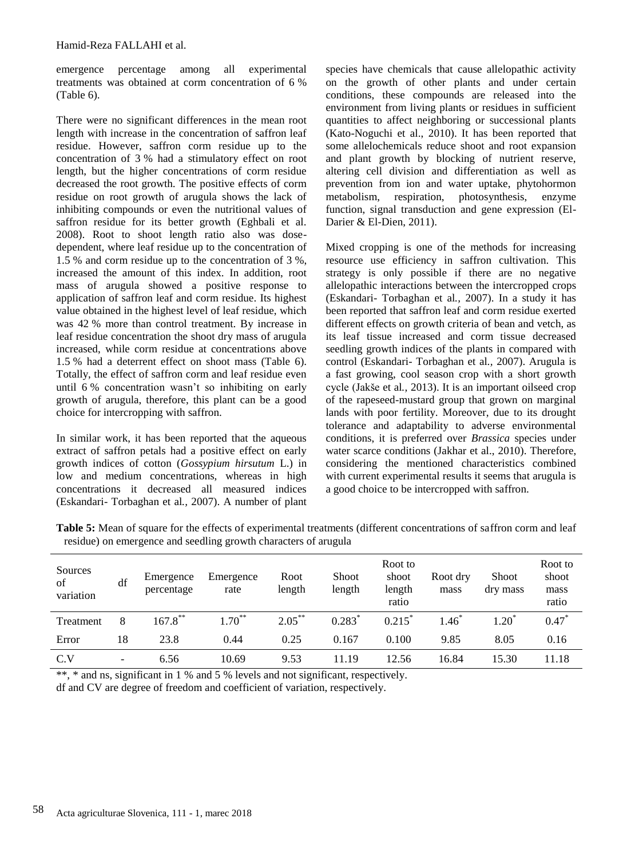emergence percentage among all experimental treatments was obtained at corm concentration of 6 % (Table 6).

There were no significant differences in the mean root length with increase in the concentration of saffron leaf residue. However, saffron corm residue up to the concentration of 3 % had a stimulatory effect on root length, but the higher concentrations of corm residue decreased the root growth. The positive effects of corm residue on root growth of arugula shows the lack of inhibiting compounds or even the nutritional values of saffron residue for its better growth (Eghbali et al. 2008). Root to shoot length ratio also was dosedependent, where leaf residue up to the concentration of 1.5 % and corm residue up to the concentration of 3 %, increased the amount of this index. In addition, root mass of arugula showed a positive response to application of saffron leaf and corm residue. Its highest value obtained in the highest level of leaf residue, which was 42 % more than control treatment. By increase in leaf residue concentration the shoot dry mass of arugula increased, while corm residue at concentrations above 1.5 % had a deterrent effect on shoot mass (Table 6). Totally, the effect of saffron corm and leaf residue even until 6 % concentration wasn't so inhibiting on early growth of arugula, therefore, this plant can be a good choice for intercropping with saffron.

In similar work, it has been reported that the aqueous extract of saffron petals had a positive effect on early growth indices of cotton (*Gossypium hirsutum* L.) in low and medium concentrations, whereas in high concentrations it decreased all measured indices (Eskandari- Torbaghan et al*.,* 2007). A number of plant species have chemicals that cause allelopathic activity on the growth of other plants and under certain conditions, these compounds are released into the environment from living plants or residues in sufficient quantities to affect neighboring or successional plants (Kato-Noguchi et al., 2010). It has been reported that some allelochemicals reduce shoot and root expansion and plant growth by blocking of nutrient reserve, altering cell division and differentiation as well as prevention from ion and water uptake, phytohormon<br>metabolism, respiration, photosynthesis, enzyme metabolism, respiration, function, signal transduction and gene expression (El-Darier & El-Dien, 2011).

Mixed cropping is one of the methods for increasing resource use efficiency in saffron cultivation. This strategy is only possible if there are no negative allelopathic interactions between the intercropped crops (Eskandari- Torbaghan et al*.,* 2007). In a study it has been reported that saffron leaf and corm residue exerted different effects on growth criteria of bean and vetch, as its leaf tissue increased and corm tissue decreased seedling growth indices of the plants in compared with control (Eskandari- Torbaghan et al*.,* 2007). Arugula is a fast growing, cool season crop with a short growth cycle (Jakše et al*.,* 2013). It is an important oilseed crop of the rapeseed-mustard group that grown on marginal lands with poor fertility. Moreover, due to its drought tolerance and adaptability to adverse environmental conditions, it is preferred over *Brassica* species under water scarce conditions (Jakhar et al., 2010). Therefore, considering the mentioned characteristics combined with current experimental results it seems that arugula is a good choice to be intercropped with saffron.

**Table 5:** Mean of square for the effects of experimental treatments (different concentrations of saffron corm and leaf residue) on emergence and seedling growth characters of arugula

| Sources<br>of<br>variation | df                       | Emergence<br>percentage | Emergence<br>rate | Root<br>length | <b>Shoot</b><br>length | Root to<br>shoot<br>length<br>ratio | Root dry<br>mass | <b>Shoot</b><br>dry mass | Root to<br>shoot<br>mass<br>ratio |
|----------------------------|--------------------------|-------------------------|-------------------|----------------|------------------------|-------------------------------------|------------------|--------------------------|-----------------------------------|
| Treatment                  | 8                        | $167.8***$              | $1.70***$         | $2.05***$      | $0.283*$               | $0.215*$                            | .46              | $1.20^*$                 | $0.47*$                           |
| Error                      | 18                       | 23.8                    | 0.44              | 0.25           | 0.167                  | 0.100                               | 9.85             | 8.05                     | 0.16                              |
| C.V                        | $\overline{\phantom{0}}$ | 6.56                    | 10.69             | 9.53           | 11.19                  | 12.56                               | 16.84            | 15.30                    | 11.18                             |

\*\*, \* and ns, significant in 1 % and 5 % levels and not significant, respectively. df and CV are degree of freedom and coefficient of variation, respectively.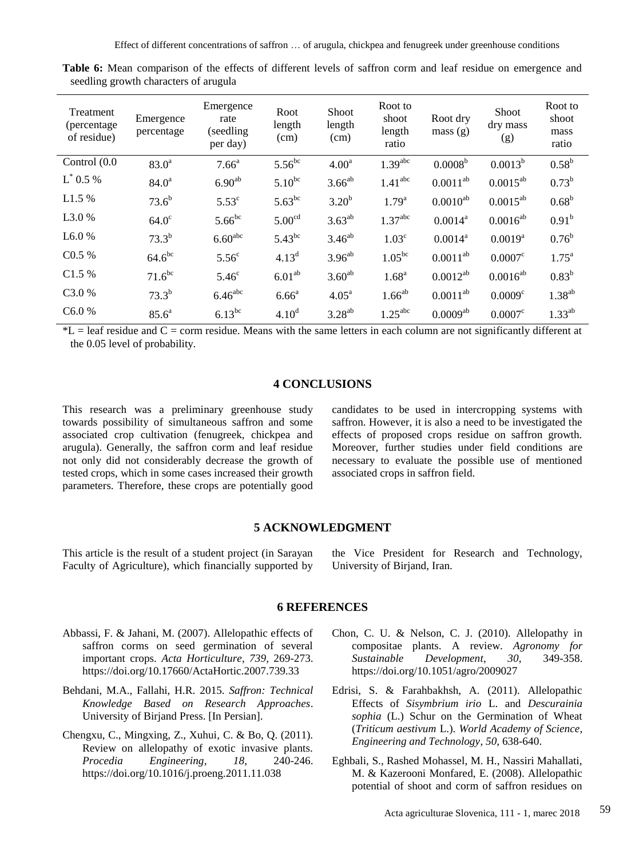| Treatment<br>(percentage)<br>of residue) | Emergence<br>percentage | Emergence<br>rate<br>(seedling)<br>per day) | Root<br>length<br>(cm) | Shoot<br>length<br>(cm) | Root to<br>shoot<br>length<br>ratio | Root dry<br>mass(g) | <b>Shoot</b><br>dry mass<br>(g) | Root to<br>shoot<br>mass<br>ratio |
|------------------------------------------|-------------------------|---------------------------------------------|------------------------|-------------------------|-------------------------------------|---------------------|---------------------------------|-----------------------------------|
| Control (0.0                             | $83.0^a$                | 7.66 <sup>a</sup>                           | $5.56^{bc}$            | 4.00 <sup>a</sup>       | 1.39 <sup>abc</sup>                 | 0.0008 <sup>b</sup> | $0.0013^{b}$                    | $0.58^{b}$                        |
| $L^*$ 0.5 %                              | $84.0^{\circ}$          | $6.90^{ab}$                                 | $5.10^{bc}$            | $3.66^{ab}$             | 1.41 <sup>abc</sup>                 | $0.0011^{ab}$       | $0.0015^{ab}$                   | $0.73^{b}$                        |
| L1.5%                                    | $73.6^{b}$              | $5.53^{\circ}$                              | $5.63^{bc}$            | 3.20 <sup>b</sup>       | $1.79^{a}$                          | $0.0010^{ab}$       | $0.0015^{ab}$                   | $0.68^{\rm b}$                    |
| L3.0 %                                   | $64.0^\circ$            | $5.66^{bc}$                                 | 5.00 <sup>cd</sup>     | $3.63^{ab}$             | 1.37 <sup>abc</sup>                 | $0.0014^a$          | $0.0016^{ab}$                   | 0.91 <sup>b</sup>                 |
| L6.0%                                    | $73.3^{b}$              | $6.60^{\rm abc}$                            | $5.43^{bc}$            | $3.46^{ab}$             | 1.03 <sup>c</sup>                   | $0.0014^a$          | $0.0019^{a}$                    | $0.76^{\rm b}$                    |
| C0.5 %                                   | $64.6^{bc}$             | 5.56 <sup>c</sup>                           | 4.13 <sup>d</sup>      | $3.96^{ab}$             | $1.05^{bc}$                         | $0.0011^{ab}$       | $0.0007^c$                      | $1.75^{\rm a}$                    |
| C1.5 %                                   | $71.6^{bc}$             | 5.46 <sup>c</sup>                           | 6.01 <sup>ab</sup>     | $3.60^{ab}$             | 1.68 <sup>a</sup>                   | $0.0012^{ab}$       | $0.0016^{ab}$                   | $0.83^{b}$                        |
| C <sub>3.0</sub> %                       | $73.3^{b}$              | $6.46$ <sup>abc</sup>                       | 6.66 <sup>a</sup>      | 4.05 <sup>a</sup>       | $1.66^{ab}$                         | $0.0011^{ab}$       | $0.0009^{\circ}$                | $1.38^{ab}$                       |
| C6.0%                                    | $85.6^a$                | $6.13^{bc}$                                 | 4.10 <sup>d</sup>      | $3.28^{ab}$             | $1.25^{\text{abc}}$                 | $0.0009^{ab}$       | $0.0007^c$                      | $1.33^{ab}$                       |

**Table 6:** Mean comparison of the effects of different levels of saffron corm and leaf residue on emergence and seedling growth characters of arugula

 $*L$  = leaf residue and  $C$  = corm residue. Means with the same letters in each column are not significantly different at the 0.05 level of probability.

#### **4 CONCLUSIONS**

This research was a preliminary greenhouse study towards possibility of simultaneous saffron and some associated crop cultivation (fenugreek, chickpea and arugula). Generally, the saffron corm and leaf residue not only did not considerably decrease the growth of tested crops, which in some cases increased their growth parameters. Therefore, these crops are potentially good candidates to be used in intercropping systems with saffron. However, it is also a need to be investigated the effects of proposed crops residue on saffron growth. Moreover, further studies under field conditions are necessary to evaluate the possible use of mentioned associated crops in saffron field.

#### **5 ACKNOWLEDGMENT**

This article is the result of a student project (in Sarayan Faculty of Agriculture), which financially supported by the Vice President for Research and Technology, University of Birjand, Iran.

#### **6 REFERENCES**

- Abbassi, F. & Jahani, M. (2007). Allelopathic effects of saffron corms on seed germination of several important crops. *Acta Horticulture*, *739*, 269-273. <https://doi.org/10.17660/ActaHortic.2007.739.33>
- Behdani, M.A., Fallahi, H.R. 2015. *Saffron: Technical Knowledge Based on Research Approaches*. University of Birjand Press. [In Persian].
- Chengxu, C., Mingxing, Z., Xuhui, C. & Bo, Q. (2011). Review on allelopathy of exotic invasive plants. *Procedia Engineering*, *18*, 240-246. <https://doi.org/10.1016/j.proeng.2011.11.038>
- Chon, C. U. & Nelson, C. J. (2010). Allelopathy in compositae plants. A review. *Agronomy for Sustainable Development*, *30*, 349-358. <https://doi.org/10.1051/agro/2009027>
- Edrisi, S. & Farahbakhsh, A. (2011). Allelopathic Effects of *Sisymbrium irio* L. and *Descurainia sophia* (L.) Schur on the Germination of Wheat (*Triticum aestivum* L.). *World Academy of Science, Engineering and Technology*, *50*, 638-640.
- Eghbali, S., Rashed Mohassel, M. H., Nassiri Mahallati, M. & Kazerooni Monfared, E. (2008). Allelopathic potential of shoot and corm of saffron residues on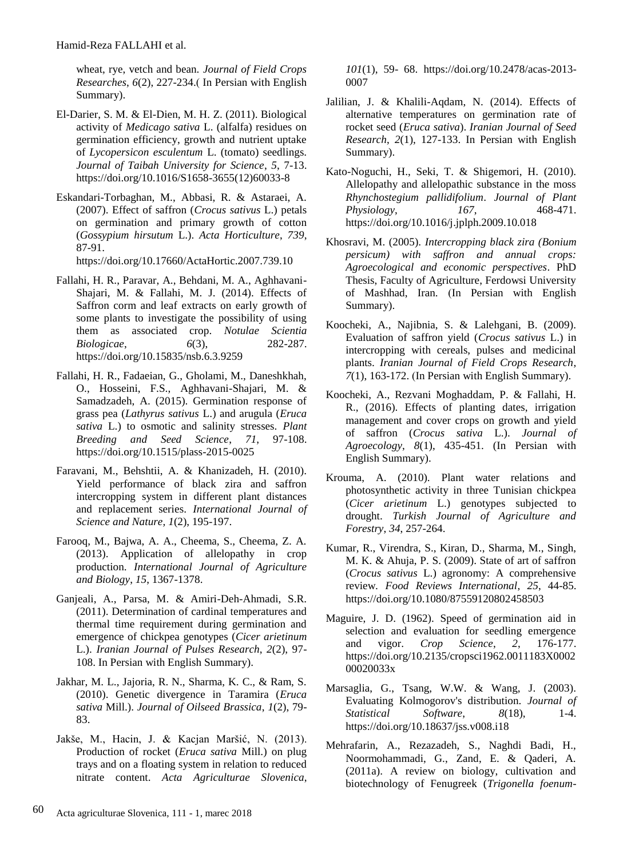wheat, rye, vetch and bean. *Journal of Field Crops Researches*, *6*(2), 227-234.) In Persian with English Summary).

- El-Darier, S. M. & El-Dien, M. H. Z. (2011). Biological activity of *Medicago sativa* L. (alfalfa) residues on germination efficiency, growth and nutrient uptake of *Lycopersicon esculentum* L. (tomato) seedlings. *Journal of Taibah University for Science*, *5*, 7-13. [https://doi.org/10.1016/S1658-3655\(12\)60033-8](https://doi.org/10.1016/S1658-3655(12)60033-8)
- Eskandari-Torbaghan, M., Abbasi, R. & Astaraei, A. (2007). Effect of saffron (*Crocus sativus* L.) petals on germination and primary growth of cotton (*Gossypium hirsutum* L.). *Acta Horticulture*, *739*, 87-91.

<https://doi.org/10.17660/ActaHortic.2007.739.10>

- Fallahi, H. R., Paravar, A., Behdani, M. A., Aghhavani-Shajari, M. & Fallahi, M. J. (2014). Effects of Saffron corm and leaf extracts on early growth of some plants to investigate the possibility of using them as associated crop. *Notulae Scientia Biologicae*, *6*(3), 282-287. <https://doi.org/10.15835/nsb.6.3.9259>
- Fallahi, H. R., Fadaeian, G., Gholami, M., Daneshkhah, O., Hosseini, F.S., Aghhavani-Shajari, M. & Samadzadeh, A. (2015). Germination response of grass pea (*Lathyrus sativus* L.) and arugula (*Eruca sativa* L.) to osmotic and salinity stresses. *Plant Breeding and Seed Science*, *71*, 97-108. <https://doi.org/10.1515/plass-2015-0025>
- Faravani, M., Behshtii, A. & Khanizadeh, H. (2010). Yield performance of black zira and saffron intercropping system in different plant distances and replacement series. *International Journal of Science and Nature, 1*(2), 195-197.
- Farooq, M., Bajwa, A. A., Cheema, S., Cheema, Z. A. (2013). Application of allelopathy in crop production. *International Journal of Agriculture and Biology*, *15*, 1367-1378.
- Ganjeali, A., Parsa, M. & Amiri-Deh-Ahmadi, S.R. (2011). Determination of cardinal temperatures and thermal time requirement during germination and emergence of chickpea genotypes (*Cicer arietinum*  L.). *Iranian Journal of Pulses Research*, *2*(2), 97- 108. In Persian with English Summary).
- Jakhar, M. L., Jajoria, R. N., Sharma, K. C., & Ram, S. (2010). Genetic divergence in Taramira (*Eruca sativa* Mill.). *Journal of Oilseed Brassica*, *1*(2), 79- 83.
- Jakše, M., Hacin, J. & Kacjan Maršić, N. (2013). Production of rocket (*Eruca sativa* Mill.) on plug trays and on a floating system in relation to reduced nitrate content. *Acta Agriculturae Slovenica*,

*101*(1), 59- 68. [https://doi.org/10.2478/acas-2013-](https://doi.org/10.2478/acas-2013-0007) [0007](https://doi.org/10.2478/acas-2013-0007)

- Jalilian, J. & Khalili-Aqdam, N. (2014). Effects of alternative temperatures on germination rate of rocket seed (*Eruca sativa*). *Iranian Journal of Seed Research*, *2*(1), 127-133. In Persian with English Summary).
- Kato-Noguchi, H., Seki, T. & Shigemori, H. (2010). Allelopathy and allelopathic substance in the moss *Rhynchostegium pallidifolium*. *Journal of Plant Physiology*, *167*, 468-471. <https://doi.org/10.1016/j.jplph.2009.10.018>
- Khosravi, M. (2005)*. Intercropping black zira (Bonium persicum) with saffron and annual crops: Agroecological and economic perspectives*. PhD Thesis, Faculty of Agriculture, Ferdowsi University of Mashhad, Iran. (In Persian with English Summary).
- Koocheki, A., Najibnia, S. & Lalehgani, B. (2009). Evaluation of saffron yield (*Crocus sativus* L.) in intercropping with cereals, pulses and medicinal plants. *Iranian Journal of Field Crops Research*, *7*(1), 163-172. (In Persian with English Summary).
- Koocheki, A., Rezvani Moghaddam, P. & Fallahi, H. R., (2016). Effects of planting dates, irrigation management and cover crops on growth and yield of saffron (*Crocus sativa* L.). *Journal of Agroecology*, *8*(1), 435-451. (In Persian with English Summary).
- Krouma, A. (2010). Plant water relations and photosynthetic activity in three Tunisian chickpea (*Cicer arietinum* L.) genotypes subjected to drought. *Turkish Journal of Agriculture and Forestry*, *34*, 257-264.
- Kumar, R., Virendra, S., Kiran, D., Sharma, M., Singh, M. K. & Ahuja, P. S. (2009). State of art of saffron (*Crocus sativus* L.) agronomy: A comprehensive review*. Food Reviews International*, *25*, 44-85. <https://doi.org/10.1080/87559120802458503>
- Maguire, J. D. (1962). Speed of germination aid in selection and evaluation for seedling emergence and vigor. *Crop Science*, *2*, 176-177. [https://doi.org/10.2135/cropsci1962.0011183X0002](https://doi.org/10.2135/cropsci1962.0011183X000200020033x) [00020033x](https://doi.org/10.2135/cropsci1962.0011183X000200020033x)
- Marsaglia, G., Tsang, W.W. & Wang, J. (2003). Evaluating Kolmogorov's distribution. *Journal of Statistical Software*, *8*(18), 1-4. <https://doi.org/10.18637/jss.v008.i18>
- Mehrafarin, A., Rezazadeh, S., Naghdi Badi, H., Noormohammadi, G., Zand, E. & Qaderi, A. (2011a). A review on biology, cultivation and biotechnology of Fenugreek (*Trigonella foenum-*